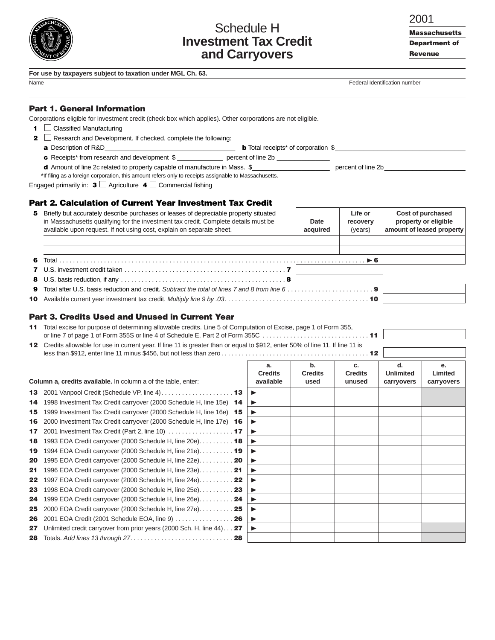

# Schedule H **Investment Tax Credit and Carryovers**

| I | ×<br>۰, |  |
|---|---------|--|

**Massachusetts** Department of

Revenue

|  |  | For use by taxpayers subject to taxation under MGL Ch. 63. |  |  |  |  |  |  |  |
|--|--|------------------------------------------------------------|--|--|--|--|--|--|--|
|--|--|------------------------------------------------------------|--|--|--|--|--|--|--|

| Name | Federal Identification number |
|------|-------------------------------|
|------|-------------------------------|

### Part 1. General Information

Corporations eligible for investment credit (check box which applies). Other corporations are not eligible.

 $\blacksquare$  Classified Manufacturing

**2**  $\Box$  Research and Development. If checked, complete the following:

a Description of R&D\_\_\_\_\_\_\_\_\_\_\_\_\_\_\_\_\_\_\_\_\_\_\_\_\_\_\_\_\_\_\_\_\_\_\_\_\_ b Total receipts\* of corporation \$\_\_\_\_\_\_\_\_\_\_\_\_\_\_\_\_\_\_\_\_\_\_\_\_\_\_\_\_\_\_\_\_\_\_\_\_\_

c Receipts\* from research and development \$ \_\_\_\_\_\_\_\_\_\_\_\_\_ percent of line 2b \_\_\_\_\_\_\_\_\_\_\_\_\_\_\_ d Amount of line 2c related to property capable of manufacture in Mass. \$\_\_\_\_\_\_\_\_\_\_\_\_\_\_\_\_\_\_\_\_\_\_ percent of line 2b\_\_\_\_\_\_\_\_\_\_\_\_\_\_\_\_\_\_\_\_\_\_\_

\*If filing as a foreign corporation, this amount refers only to receipts assignable to Massachusetts.

Engaged primarily in:  $\mathbf{3} \square$  Agriculture  $\mathbf{4} \square$  Commercial fishing

### Part 2. Calculation of Current Year Investment Tax Credit

| 5 Briefly but accurately describe purchases or leases of depreciable property situated<br>in Massachusetts qualifying for the investment tax credit. Complete details must be<br>available upon request. If not using cost, explain on separate sheet. | Date<br>acquired | Life or<br>recovery<br>(years) | Cost of purchased<br>property or eligible<br>amount of leased property |
|--------------------------------------------------------------------------------------------------------------------------------------------------------------------------------------------------------------------------------------------------------|------------------|--------------------------------|------------------------------------------------------------------------|
|                                                                                                                                                                                                                                                        |                  |                                |                                                                        |
|                                                                                                                                                                                                                                                        |                  |                                |                                                                        |
|                                                                                                                                                                                                                                                        |                  |                                |                                                                        |
|                                                                                                                                                                                                                                                        |                  |                                |                                                                        |
| 9 Total after U.S. basis reduction and credit. Subtract the total of lines 7 and 8 from line $6, \ldots, \ldots, \ldots, \ldots, \ldots$                                                                                                               |                  |                                |                                                                        |
|                                                                                                                                                                                                                                                        |                  |                                |                                                                        |

# Part 3. Credits Used and Unused in Current Year

| 11 Total excise for purpose of determining allowable credits. Line 5 of Computation of Excise, page 1 of Form 355,              |
|---------------------------------------------------------------------------------------------------------------------------------|
|                                                                                                                                 |
| 12 Credits allowable for use in current year. If line 11 is greater than or equal to \$912, enter 50% of line 11. If line 11 is |

|    | Column a, credits available. In column a of the table, enter:                     | <b>Credits</b><br>available | <b>Credits</b><br>used | <b>Credits</b><br>unused | <b>Unlimited</b><br>carryovers | Limited<br>carryovers |
|----|-----------------------------------------------------------------------------------|-----------------------------|------------------------|--------------------------|--------------------------------|-----------------------|
| 13 |                                                                                   | ▶                           |                        |                          |                                |                       |
| 14 | 1998 Investment Tax Credit carryover (2000 Schedule H, line 15e) 14               | $\blacktriangleright$       |                        |                          |                                |                       |
| 15 | 1999 Investment Tax Credit carryover (2000 Schedule H, line 16e) 15               | ▶                           |                        |                          |                                |                       |
| 16 | 2000 Investment Tax Credit carryover (2000 Schedule H, line 17e) 16               |                             |                        |                          |                                |                       |
| 17 | 2001 Investment Tax Credit (Part 2, line 10) $\ldots \ldots \ldots \ldots \ldots$ | ▶                           |                        |                          |                                |                       |
| 18 | 1993 EOA Credit carryover (2000 Schedule H, line 20e). 18                         | ▶                           |                        |                          |                                |                       |
| 19 | 1994 EOA Credit carryover (2000 Schedule H, line 21e). 19                         | ▸                           |                        |                          |                                |                       |
| 20 | 1995 EOA Credit carryover (2000 Schedule H, line 22e). $\ldots \ldots \ldots$     | ▸                           |                        |                          |                                |                       |
| 21 | 1996 EOA Credit carryover (2000 Schedule H, line 23e). 21                         | $\blacktriangleright$       |                        |                          |                                |                       |
| 22 | 1997 EOA Credit carryover (2000 Schedule H, line 24e). $\dots \dots$              |                             |                        |                          |                                |                       |
| 23 | 1998 EOA Credit carryover (2000 Schedule H, line 25e) 23                          |                             |                        |                          |                                |                       |
| 24 | 1999 EOA Credit carryover (2000 Schedule H, line 26e) 24                          |                             |                        |                          |                                |                       |
| 25 | 2000 EOA Credit carryover (2000 Schedule H, line 27e) 25                          |                             |                        |                          |                                |                       |
| 26 | 2001 EOA Credit (2001 Schedule EOA, line 9)  26                                   |                             |                        |                          |                                |                       |
| 27 | Unlimited credit carryover from prior years (2000 Sch. H, line 44) 27             |                             |                        |                          |                                |                       |
| 28 |                                                                                   |                             |                        |                          |                                |                       |